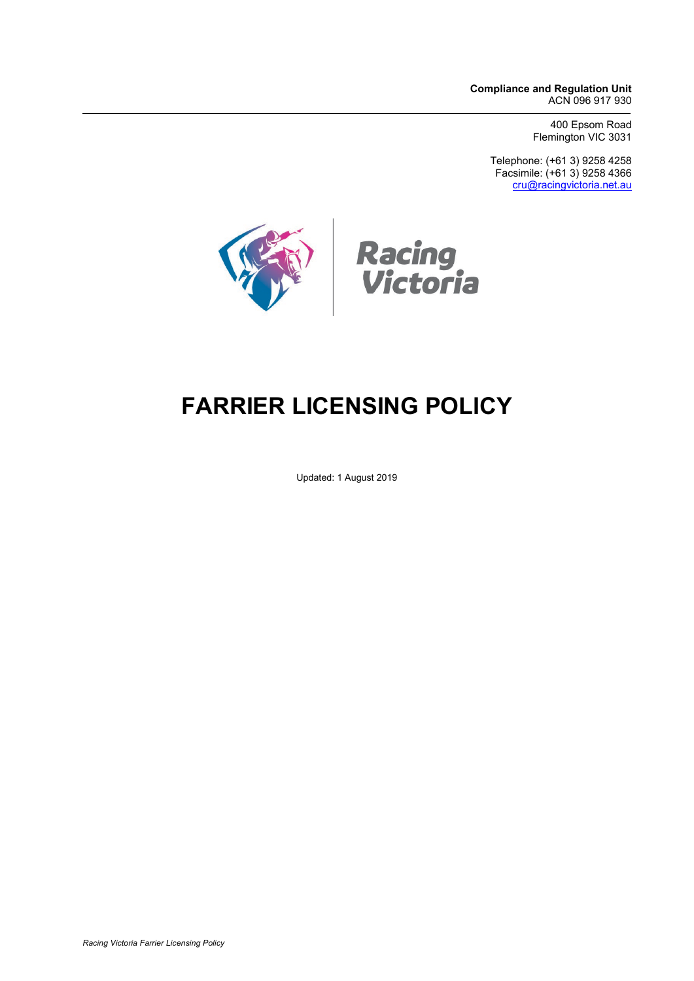**Compliance and Regulation Unit** ACN 096 917 930

> 400 Epsom Road Flemington VIC 3031

Telephone: (+61 3) 9258 4258 Facsimile: (+61 3) 9258 4366 [cru@racingvictoria.net.au](mailto:cru@racingvictoria.net.au)



# **FARRIER LICENSING POLICY**

Updated: 1 August 2019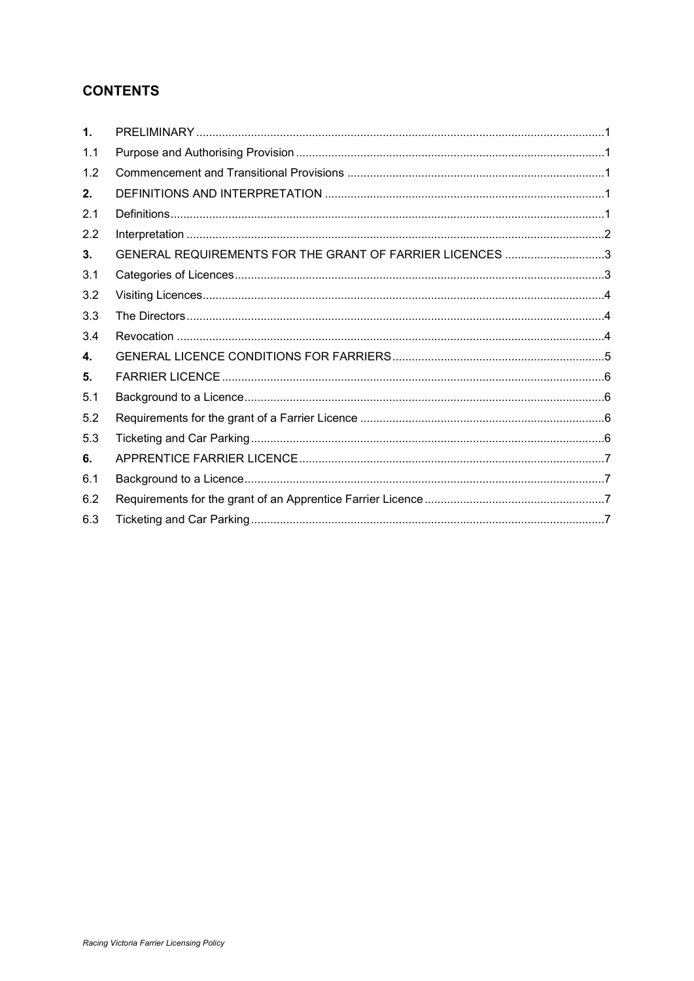## **CONTENTS**

| 1.  |                                                          |
|-----|----------------------------------------------------------|
| 1.1 |                                                          |
| 1.2 |                                                          |
| 2.  |                                                          |
| 2.1 |                                                          |
| 2.2 |                                                          |
| 3.  | GENERAL REQUIREMENTS FOR THE GRANT OF FARRIER LICENCES 3 |
| 3.1 |                                                          |
| 3.2 |                                                          |
| 3.3 |                                                          |
| 3.4 |                                                          |
| 4.  |                                                          |
| 5.  |                                                          |
| 5.1 |                                                          |
| 5.2 |                                                          |
| 5.3 |                                                          |
| 6.  |                                                          |
| 6.1 |                                                          |
| 6.2 |                                                          |
| 6.3 |                                                          |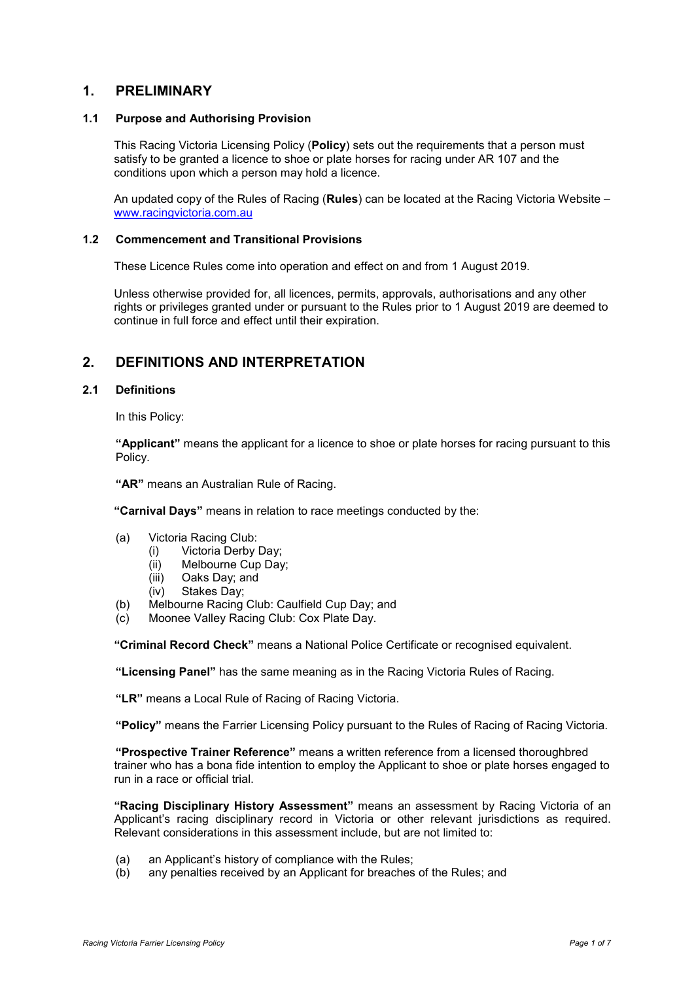### <span id="page-2-0"></span>**1. PRELIMINARY**

#### <span id="page-2-1"></span>**1.1 Purpose and Authorising Provision**

This Racing Victoria Licensing Policy (**Policy**) sets out the requirements that a person must satisfy to be granted a licence to shoe or plate horses for racing under AR 107 and the conditions upon which a person may hold a licence.

An updated copy of the Rules of Racing (**Rules**) can be located at the Racing Victoria Website – [www.racingvictoria.com.au](http://www.racingvictoria.com.au/)

#### <span id="page-2-2"></span>**1.2 Commencement and Transitional Provisions**

These Licence Rules come into operation and effect on and from 1 August 2019.

Unless otherwise provided for, all licences, permits, approvals, authorisations and any other rights or privileges granted under or pursuant to the Rules prior to 1 August 2019 are deemed to continue in full force and effect until their expiration.

## <span id="page-2-3"></span>**2. DEFINITIONS AND INTERPRETATION**

#### <span id="page-2-4"></span>**2.1 Definitions**

In this Policy:

**"Applicant"** means the applicant for a licence to shoe or plate horses for racing pursuant to this Policy.

**"AR"** means an Australian Rule of Racing.

**"Carnival Days"** means in relation to race meetings conducted by the:

- (a) Victoria Racing Club:
	- (i) Victoria Derby Day;
	- (ii) Melbourne Cup Day;
	- (iii) Oaks Day; and
	- (iv) Stakes Day;
- (b) Melbourne Racing Club: Caulfield Cup Day; and
- (c) Moonee Valley Racing Club: Cox Plate Day.

**"Criminal Record Check"** means a National Police Certificate or recognised equivalent.

**"Licensing Panel"** has the same meaning as in the Racing Victoria Rules of Racing.

**"LR"** means a Local Rule of Racing of Racing Victoria.

**"Policy"** means the Farrier Licensing Policy pursuant to the Rules of Racing of Racing Victoria.

**"Prospective Trainer Reference"** means a written reference from a licensed thoroughbred trainer who has a bona fide intention to employ the Applicant to shoe or plate horses engaged to run in a race or official trial.

**"Racing Disciplinary History Assessment"** means an assessment by Racing Victoria of an Applicant's racing disciplinary record in Victoria or other relevant jurisdictions as required. Relevant considerations in this assessment include, but are not limited to:

- (a) an Applicant's history of compliance with the Rules;
- (b) any penalties received by an Applicant for breaches of the Rules; and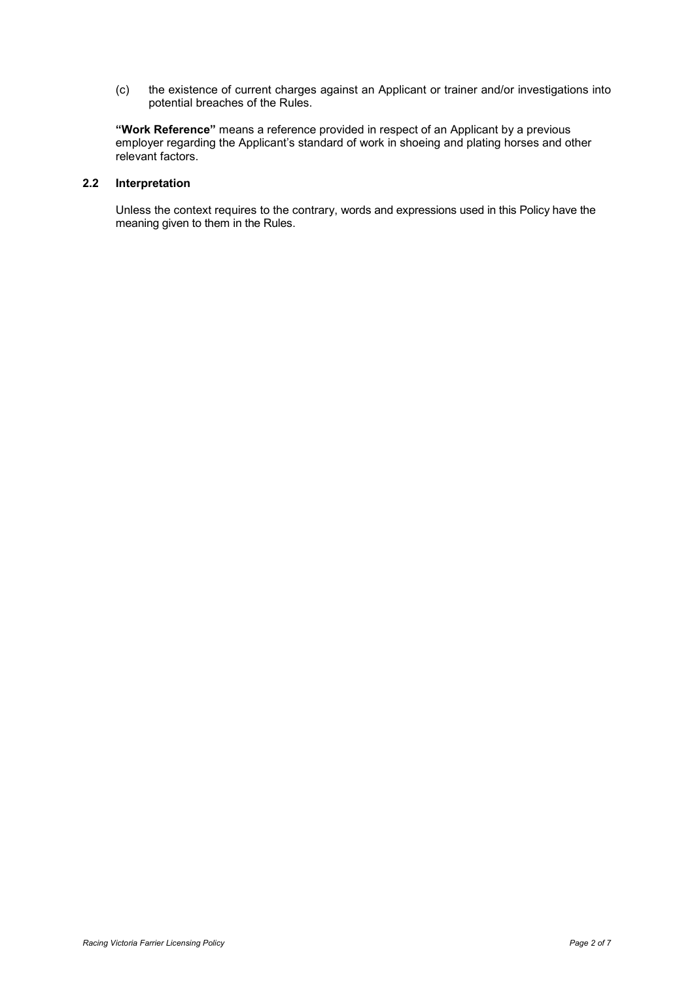(c) the existence of current charges against an Applicant or trainer and/or investigations into potential breaches of the Rules.

**"Work Reference"** means a reference provided in respect of an Applicant by a previous employer regarding the Applicant's standard of work in shoeing and plating horses and other relevant factors.

#### <span id="page-3-0"></span>**2.2 Interpretation**

Unless the context requires to the contrary, words and expressions used in this Policy have the meaning given to them in the Rules.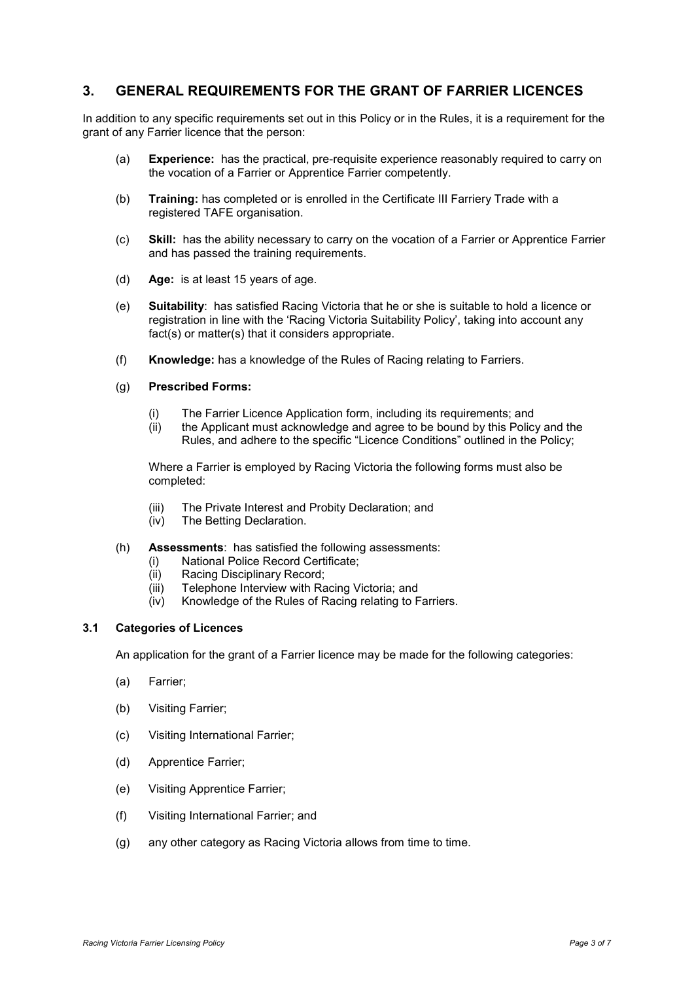## <span id="page-4-0"></span>**3. GENERAL REQUIREMENTS FOR THE GRANT OF FARRIER LICENCES**

In addition to any specific requirements set out in this Policy or in the Rules, it is a requirement for the grant of any Farrier licence that the person:

- (a) **Experience:** has the practical, pre-requisite experience reasonably required to carry on the vocation of a Farrier or Apprentice Farrier competently.
- (b) **Training:** has completed or is enrolled in the Certificate III Farriery Trade with a registered TAFE organisation.
- (c) **Skill:** has the ability necessary to carry on the vocation of a Farrier or Apprentice Farrier and has passed the training requirements.
- (d) **Age:** is at least 15 years of age.
- (e) **Suitability**: has satisfied Racing Victoria that he or she is suitable to hold a licence or registration in line with the 'Racing Victoria Suitability Policy', taking into account any fact(s) or matter(s) that it considers appropriate.
- (f) **Knowledge:** has a knowledge of the Rules of Racing relating to Farriers.
- (g) **Prescribed Forms:** 
	- (i) The Farrier Licence Application form, including its requirements; and
	- (ii) the Applicant must acknowledge and agree to be bound by this Policy and the Rules, and adhere to the specific "Licence Conditions" outlined in the Policy;

Where a Farrier is employed by Racing Victoria the following forms must also be completed:

- (iii) The Private Interest and Probity Declaration; and
- (iv) The Betting Declaration.
- (h) **Assessments**: has satisfied the following assessments:
	- (i) National Police Record Certificate;
	- (ii) Racing Disciplinary Record;
	- (iii) Telephone Interview with Racing Victoria; and
	- (iv) Knowledge of the Rules of Racing relating to Farriers.

#### <span id="page-4-1"></span>**3.1 Categories of Licences**

An application for the grant of a Farrier licence may be made for the following categories:

- (a) Farrier;
- (b) Visiting Farrier;
- (c) Visiting International Farrier;
- (d) Apprentice Farrier;
- (e) Visiting Apprentice Farrier;
- (f) Visiting International Farrier; and
- (g) any other category as Racing Victoria allows from time to time.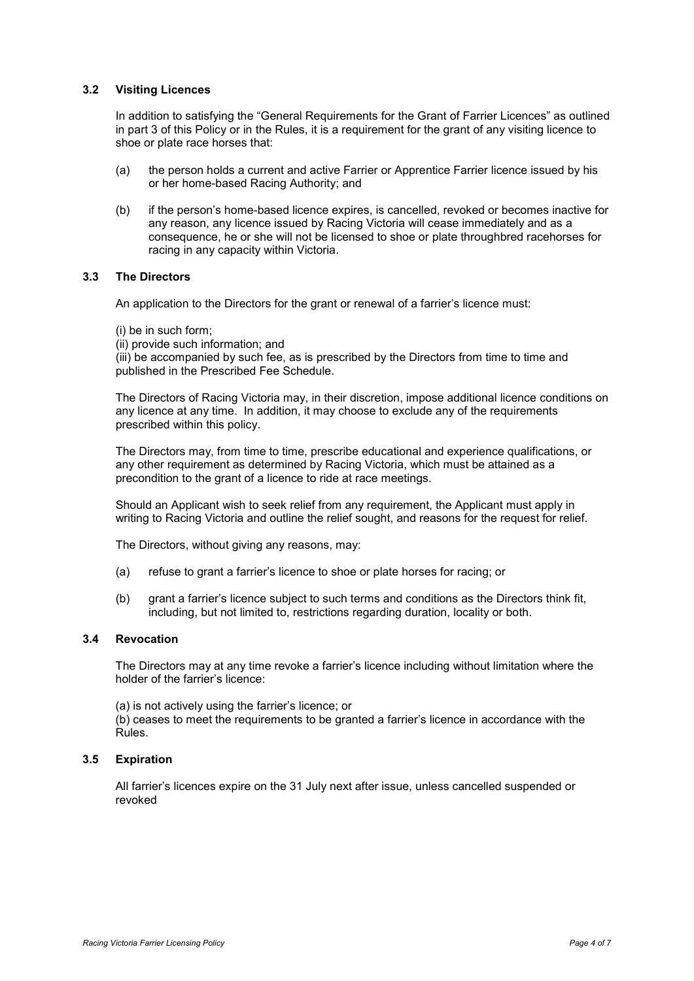#### <span id="page-5-0"></span>**3.2 Visiting Licences**

In addition to satisfying the "General Requirements for the Grant of Farrier Licences" as outlined in part 3 of this Policy or in the Rules, it is a requirement for the grant of any visiting licence to shoe or plate race horses that:

- (a) the person holds a current and active Farrier or Apprentice Farrier licence issued by his or her home-based Racing Authority; and
- (b) if the person's home-based licence expires, is cancelled, revoked or becomes inactive for any reason, any licence issued by Racing Victoria will cease immediately and as a consequence, he or she will not be licensed to shoe or plate throughbred racehorses for racing in any capacity within Victoria.

#### <span id="page-5-1"></span>**3.3 The Directors**

An application to the Directors for the grant or renewal of a farrier's licence must:

- (i) be in such form;
- (ii) provide such information; and

(iii) be accompanied by such fee, as is prescribed by the Directors from time to time and published in the Prescribed Fee Schedule.

The Directors of Racing Victoria may, in their discretion, impose additional licence conditions on any licence at any time. In addition, it may choose to exclude any of the requirements prescribed within this policy.

The Directors may, from time to time, prescribe educational and experience qualifications, or any other requirement as determined by Racing Victoria, which must be attained as a precondition to the grant of a licence to ride at race meetings.

Should an Applicant wish to seek relief from any requirement, the Applicant must apply in writing to Racing Victoria and outline the relief sought, and reasons for the request for relief.

The Directors, without giving any reasons, may:

- (a) refuse to grant a farrier's licence to shoe or plate horses for racing; or
- (b) grant a farrier's licence subject to such terms and conditions as the Directors think fit, including, but not limited to, restrictions regarding duration, locality or both.

#### <span id="page-5-2"></span>**3.4 Revocation**

The Directors may at any time revoke a farrier's licence including without limitation where the holder of the farrier's licence:

(a) is not actively using the farrier's licence; or

(b) ceases to meet the requirements to be granted a farrier's licence in accordance with the Rules.

#### **3.5 Expiration**

All farrier's licences expire on the 31 July next after issue, unless cancelled suspended or revoked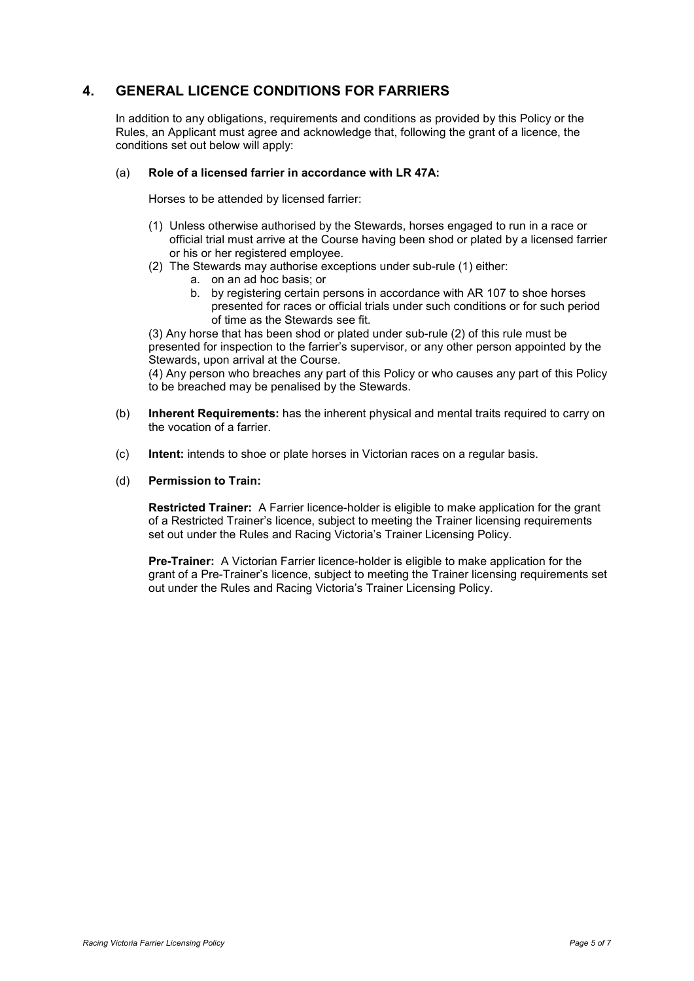## <span id="page-6-0"></span>**4. GENERAL LICENCE CONDITIONS FOR FARRIERS**

In addition to any obligations, requirements and conditions as provided by this Policy or the Rules, an Applicant must agree and acknowledge that, following the grant of a licence, the conditions set out below will apply:

#### (a) **Role of a licensed farrier in accordance with LR 47A:**

Horses to be attended by licensed farrier:

- (1) Unless otherwise authorised by the Stewards, horses engaged to run in a race or official trial must arrive at the Course having been shod or plated by a licensed farrier or his or her registered employee.
- (2) The Stewards may authorise exceptions under sub-rule (1) either:
	- a. on an ad hoc basis; or
	- b. by registering certain persons in accordance with AR 107 to shoe horses presented for races or official trials under such conditions or for such period of time as the Stewards see fit.

(3) Any horse that has been shod or plated under sub-rule (2) of this rule must be presented for inspection to the farrier's supervisor, or any other person appointed by the Stewards, upon arrival at the Course.

(4) Any person who breaches any part of this Policy or who causes any part of this Policy to be breached may be penalised by the Stewards.

- (b) **Inherent Requirements:** has the inherent physical and mental traits required to carry on the vocation of a farrier.
- (c) **Intent:** intends to shoe or plate horses in Victorian races on a regular basis.
- (d) **Permission to Train:**

**Restricted Trainer:** A Farrier licence-holder is eligible to make application for the grant of a Restricted Trainer's licence, subject to meeting the Trainer licensing requirements set out under the Rules and Racing Victoria's Trainer Licensing Policy.

**Pre-Trainer:** A Victorian Farrier licence-holder is eligible to make application for the grant of a Pre-Trainer's licence, subject to meeting the Trainer licensing requirements set out under the Rules and Racing Victoria's Trainer Licensing Policy.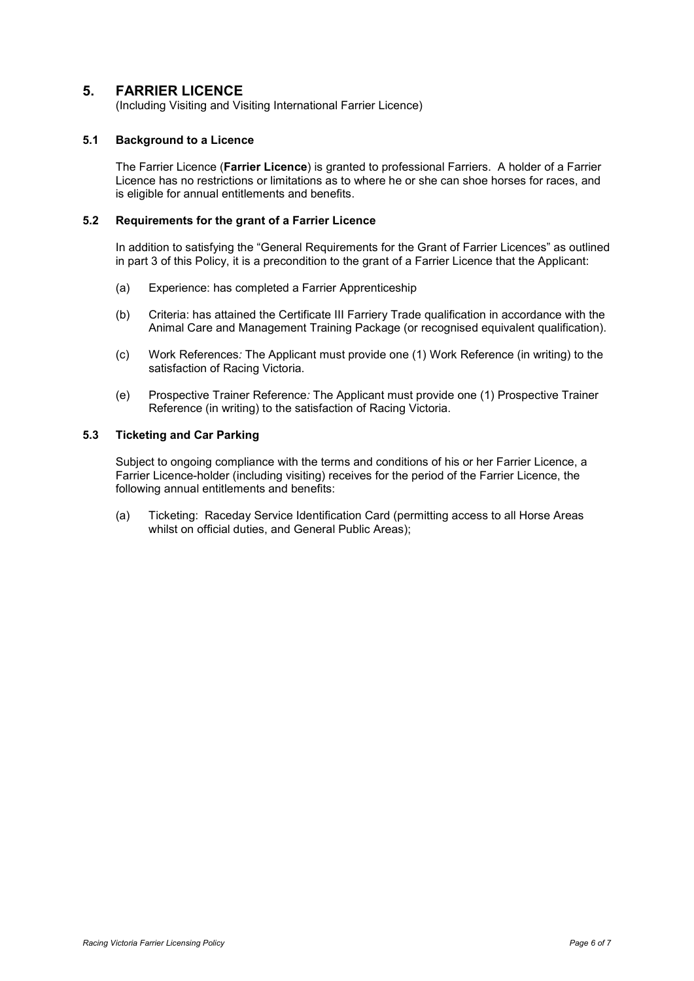## <span id="page-7-0"></span>**5. FARRIER LICENCE**

(Including Visiting and Visiting International Farrier Licence)

#### <span id="page-7-1"></span>**5.1 Background to a Licence**

The Farrier Licence (**Farrier Licence**) is granted to professional Farriers. A holder of a Farrier Licence has no restrictions or limitations as to where he or she can shoe horses for races, and is eligible for annual entitlements and benefits.

#### <span id="page-7-2"></span>**5.2 Requirements for the grant of a Farrier Licence**

In addition to satisfying the "General Requirements for the Grant of Farrier Licences" as outlined in part 3 of this Policy, it is a precondition to the grant of a Farrier Licence that the Applicant:

- (a) Experience: has completed a Farrier Apprenticeship
- (b) Criteria: has attained the Certificate III Farriery Trade qualification in accordance with the Animal Care and Management Training Package (or recognised equivalent qualification).
- (c) Work References*:* The Applicant must provide one (1) Work Reference (in writing) to the satisfaction of Racing Victoria.
- (e) Prospective Trainer Reference*:* The Applicant must provide one (1) Prospective Trainer Reference (in writing) to the satisfaction of Racing Victoria.

#### <span id="page-7-3"></span>**5.3 Ticketing and Car Parking**

Subject to ongoing compliance with the terms and conditions of his or her Farrier Licence, a Farrier Licence-holder (including visiting) receives for the period of the Farrier Licence, the following annual entitlements and benefits:

(a) Ticketing: Raceday Service Identification Card (permitting access to all Horse Areas whilst on official duties, and General Public Areas):